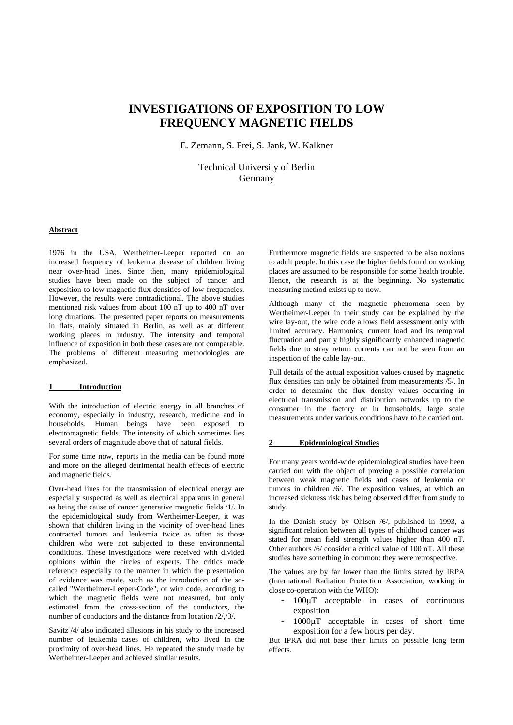# **INVESTIGATIONS OF EXPOSITION TO LOW FREQUENCY MAGNETIC FIELDS**

E. Zemann, S. Frei, S. Jank, W. Kalkner

Technical University of Berlin Germany

# **Abstract**

1976 in the USA, Wertheimer-Leeper reported on an increased frequency of leukemia desease of children living near over-head lines. Since then, many epidemiological studies have been made on the subject of cancer and exposition to low magnetic flux densities of low frequencies. However, the results were contradictional. The above studies mentioned risk values from about 100 nT up to 400 nT over long durations. The presented paper reports on measurements in flats, mainly situated in Berlin, as well as at different working places in industry. The intensity and temporal influence of exposition in both these cases are not comparable. The problems of different measuring methodologies are emphasized.

## **1 Introduction**

With the introduction of electric energy in all branches of economy, especially in industry, research, medicine and in households. Human beings have been exposed to electromagnetic fields. The intensity of which sometimes lies several orders of magnitude above that of natural fields.

For some time now, reports in the media can be found more and more on the alleged detrimental health effects of electric and magnetic fields.

Over-head lines for the transmission of electrical energy are especially suspected as well as electrical apparatus in general as being the cause of cancer generative magnetic fields /1/. In the epidemiological study from Wertheimer-Leeper, it was shown that children living in the vicinity of over-head lines contracted tumors and leukemia twice as often as those children who were not subjected to these environmental conditions. These investigations were received with divided opinions within the circles of experts. The critics made reference especially to the manner in which the presentation of evidence was made, such as the introduction of the socalled "Wertheimer-Leeper-Code", or wire code, according to which the magnetic fields were not measured, but only estimated from the cross-section of the conductors, the number of conductors and the distance from location /2/,/3/.

Savitz /4/ also indicated allusions in his study to the increased number of leukemia cases of children, who lived in the proximity of over-head lines. He repeated the study made by Wertheimer-Leeper and achieved similar results.

Furthermore magnetic fields are suspected to be also noxious to adult people. In this case the higher fields found on working places are assumed to be responsible for some health trouble. Hence, the research is at the beginning. No systematic measuring method exists up to now.

Although many of the magnetic phenomena seen by Wertheimer-Leeper in their study can be explained by the wire lay-out, the wire code allows field assessment only with limited accuracy. Harmonics, current load and its temporal fluctuation and partly highly significantly enhanced magnetic fields due to stray return currents can not be seen from an inspection of the cable lay-out.

Full details of the actual exposition values caused by magnetic flux densities can only be obtained from measurements /5/. In order to determine the flux density values occurring in electrical transmission and distribution networks up to the consumer in the factory or in households, large scale measurements under various conditions have to be carried out.

# **2 Epidemiological Studies**

For many years world-wide epidemiological studies have been carried out with the object of proving a possible correlation between weak magnetic fields and cases of leukemia or tumors in children /6/. The exposition values, at which an increased sickness risk has being observed differ from study to study.

In the Danish study by Ohlsen /6/, published in 1993, a significant relation between all types of childhood cancer was stated for mean field strength values higher than 400 nT. Other authors /6/ consider a critical value of 100 nT. All these studies have something in common: they were retrospective.

The values are by far lower than the limits stated by IRPA (International Radiation Protection Association, working in close co-operation with the WHO):

- 100μT acceptable in cases of continuous exposition
- 1000μT acceptable in cases of short time exposition for a few hours per day.

But IPRA did not base their limits on possible long term effects.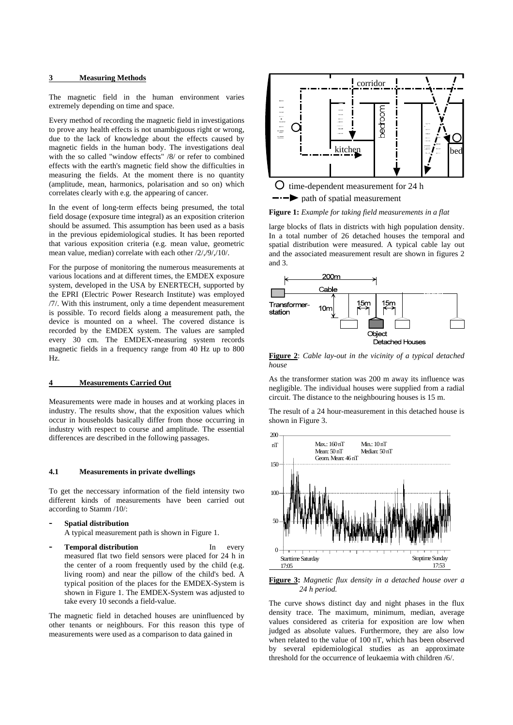#### **3 Measuring Methods**

The magnetic field in the human environment varies extremely depending on time and space.

Every method of recording the magnetic field in investigations to prove any health effects is not unambiguous right or wrong, due to the lack of knowledge about the effects caused by magnetic fields in the human body. The investigations deal with the so called "window effects" /8/ or refer to combined effects with the earth's magnetic field show the difficulties in measuring the fields. At the moment there is no quantity (amplitude, mean, harmonics, polarisation and so on) which correlates clearly with e.g. the appearing of cancer.

In the event of long-term effects being presumed, the total field dosage (exposure time integral) as an exposition criterion should be assumed. This assumption has been used as a basis in the previous epidemiological studies. It has been reported that various exposition criteria (e.g. mean value, geometric mean value, median) correlate with each other /2/,/9/,/10/.

For the purpose of monitoring the numerous measurements at various locations and at different times, the EMDEX exposure system, developed in the USA by ENERTECH, supported by the EPRI (Electric Power Research Institute) was employed /7/. With this instrument, only a time dependent measurement is possible. To record fields along a measurement path, the device is mounted on a wheel. The covered distance is recorded by the EMDEX system. The values are sampled every 30 cm. The EMDEX-measuring system records magnetic fields in a frequency range from 40 Hz up to 800 Hz.

## **4 Measurements Carried Out**

Measurements were made in houses and at working places in industry. The results show, that the exposition values which occur in households basically differ from those occurring in industry with respect to course and amplitude. The essential differences are described in the following passages.

# **4.1 Measurements in private dwellings**

To get the neccessary information of the field intensity two different kinds of measurements have been carried out according to Stamm /10/:

**- Spatial distribution** 

A typical measurement path is shown in Figure 1.

**Temporal distribution In** every measured flat two field sensors were placed for 24 h in the center of a room frequently used by the child (e.g. living room) and near the pillow of the child's bed. A typical position of the places for the EMDEX-System is shown in Figure 1. The EMDEX-System was adjusted to take every 10 seconds a field-value.

The magnetic field in detached houses are uninfluenced by other tenants or neighbours. For this reason this type of measurements were used as a comparison to data gained in



**Figure 1:** *Example for taking field measurements in a flat*

large blocks of flats in districts with high population density. In a total number of 26 detached houses the temporal and spatial distribution were measured. A typical cable lay out and the associated measurement result are shown in figures 2 and 3.



**Figure 2**: *Cable lay-out in the vicinity of a typical detached house*

As the transformer station was 200 m away its influence was negligible. The individual houses were supplied from a radial circuit. The distance to the neighbouring houses is 15 m.

The result of a 24 hour-measurement in this detached house is shown in Figure 3.



**Figure 3:** *Magnetic flux density in a detached house over a 24 h period.*

The curve shows distinct day and night phases in the flux density trace. The maximum, minimum, median, average values considered as criteria for exposition are low when judged as absolute values. Furthermore, they are also low when related to the value of 100 nT, which has been observed by several epidemiological studies as an approximate threshold for the occurrence of leukaemia with children /6/.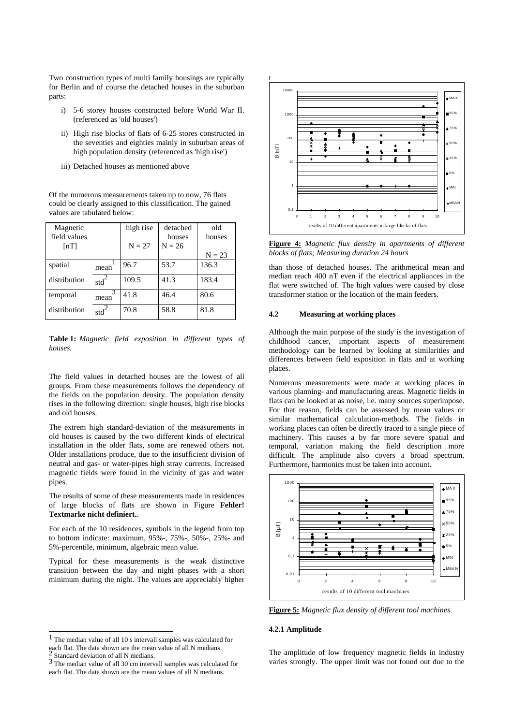Two construction types of multi family housings are typically for Berlin and of course the detached houses in the suburban parts:

- i) 5-6 storey houses constructed before World War II. (referenced as 'old houses')
- ii) High rise blocks of flats of 6-25 stores constructed in the seventies and eighties mainly in suburban areas of high population density (referenced as 'high rise')
- iii) Detached houses as mentioned above

Of the numerous measurements taken up to now, 76 flats could be clearly assigned to this classification. The gained values are tabulated below:

| Magnetic           |                  | high rise | detached | old      |
|--------------------|------------------|-----------|----------|----------|
| field values       |                  |           | houses   | houses   |
| $\lceil nT \rceil$ |                  | $N = 27$  | $N = 26$ |          |
|                    |                  |           |          | $N = 23$ |
| spatial            | mean             | 96.7      | 53.7     | 136.3    |
| distribution       | std <sup>4</sup> | 109.5     | 41.3     | 183.4    |
| temporal           | mean             | 41.8      | 46.4     | 80.6     |
| distribution       | stdʻ             | 70.8      | 58.8     | 81.8     |

**Table 1:** *Magnetic field exposition in different types of houses.*

The field values in detached houses are the lowest of all groups. From these measurements follows the dependency of the fields on the population density. The population density rises in the following direction: single houses, high rise blocks and old houses.

The extrem high standard-deviation of the measurements in old houses is caused by the two different kinds of electrical installation in the older flats, some are renewed others not. Older installations produce, due to the insufficient division of neutral and gas- or water-pipes high stray currents. Increased magnetic fields were found in the vicinity of gas and water pipes.

The results of some of these measurements made in residences of large blocks of flats are shown in Figure **Fehler! Textmarke nicht definiert.**.

For each of the 10 residences, symbols in the legend from top to bottom indicate: maximum, 95%-, 75%-, 50%-, 25%- and 5%-percentile, minimum, algebraic mean value.

Typical for these measurements is the weak distinctive transition between the day and night phases with a short minimum during the night. The values are appreciably higher

 $\overline{\phantom{a}}$ 



**Figure 4:** *Magnetic flux density in apartments of different blocks of flats; Measuring duration 24 hours* 

than those of detached houses. The arithmetical mean and median reach 400 nT even if the electrical appliances in the flat were switched of. The high values were caused by close transformer station or the location of the main feeders.

#### **4.2 Measuring at working places**

Although the main purpose of the study is the investigation of childhood cancer, important aspects of measurement methodology can be learned by looking at similarities and differences between field exposition in flats and at working places.

Numerous measurements were made at working places in various planning- and manufacturing areas. Magnetic fields in flats can be looked at as noise, i.e. many sources superimpose. For that reason, fields can be assessed by mean values or similar mathematical calculation-methods. The fields in working places can often be directly traced to a single piece of machinery. This causes a by far more severe spatial and temporal, variation making the field description more difficult. The amplitude also covers a broad spectrum. Furthermore, harmonics must be taken into account.



**Figure 5:** *Magnetic flux density of different tool machines* 

# **4.2.1 Amplitude**

The amplitude of low frequency magnetic fields in industry varies strongly. The upper limit was not found out due to the

<sup>1</sup> The median value of all 10 s intervall samples was calculated for each flat. The data shown are the mean value of all N medians. <sup>2</sup> Standard deviation of all N medians.

<sup>&</sup>lt;sup>3</sup> The median value of all 30 cm intervall samples was calculated for each flat. The data shown are the mean values of all N medians.